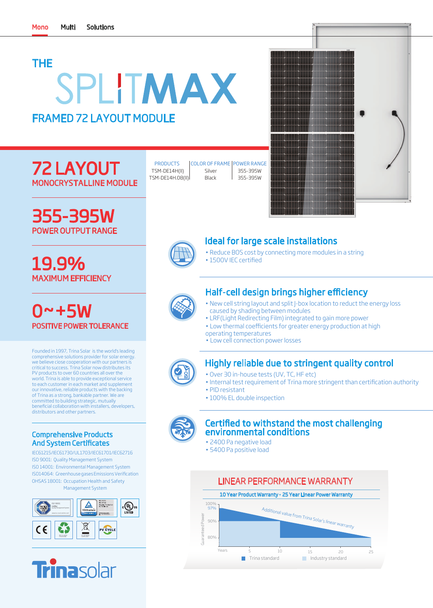# THE SPLITMAX FRAMED 72 LAYOUT MODULE

# 72 LAYOUT MONOCRYSTALLINE MODULE

355-395W POWER OUTPUT RANGE

MAXIMUM EFFICIENCY

19.9%

0~+5W

| <b>PRODUCTS</b>  | <b>COLOR OF FRAME   POWER RANGE</b> |          |
|------------------|-------------------------------------|----------|
| TSM-DE14H(II)    | Silver                              | 355-395W |
| TSM-DE14H.08(II) | Black                               | 355-395W |
|                  |                                     |          |

| a<br>a               |   |            |
|----------------------|---|------------|
| M                    |   |            |
| d                    |   |            |
| đ<br>٠               | O |            |
| $\blacklozenge$<br>♦ |   |            |
| E<br>Í               |   |            |
| П                    |   | $\sqrt{2}$ |
|                      |   |            |
|                      |   |            |
| ī                    |   |            |
| M<br>m<br>N          | 1 |            |



## Ideal for large scale installations

- Reduce BOS cost by connecting more modules in a string
- 1500V IEC certified

# Half-cell design brings higher efficiency

- New cell string layout and split J-box location to reduct the energy loss caused by shading between modules
- LRF(Light Redirecting Film) integrated to gain more power
- Low thermal coefficients for greater energy production at high
- operating temperatures
- Low cell connection power losses

## Highly reliable due to stringent quality control

- Over 30 in-house tests (UV, TC, HF etc)
- Internal test requirement of Trina more stringent than certification authority
- PID resistant
- 100% EL double inspection



### Certified to withstand the most challenging environmental conditions

- 2400 Pa negative load
- 5400 Pa positive load



comprehensive solutions provider for solar energy. we believe ciose cooperation with our partners is critical to success. Trina Solar now distributes its PV products to over 60 countries all over the world. Trina is able to provide exceptional service to each customer in each market and supplement our innovative, reliable products with the backing of Trina as a strong, bankable partner. We are committed to building strategic, mutually beneficial collaboration with installers, developers, distributors and other partners.

Founded in 1997, Trina Solar is the world's leading

POSITIVE POWER TOLERANCE

### Comprehensive Products And System Certificates

IEC61215/IEC61730/UL1703/IEC61701/IEC62716 ISO 9001: Quality Management System ISO 14001: Environmental Management System ISO14064: Greenhouse gases Emissions Verification OHSAS 18001: Occupation Health and Safety Management System